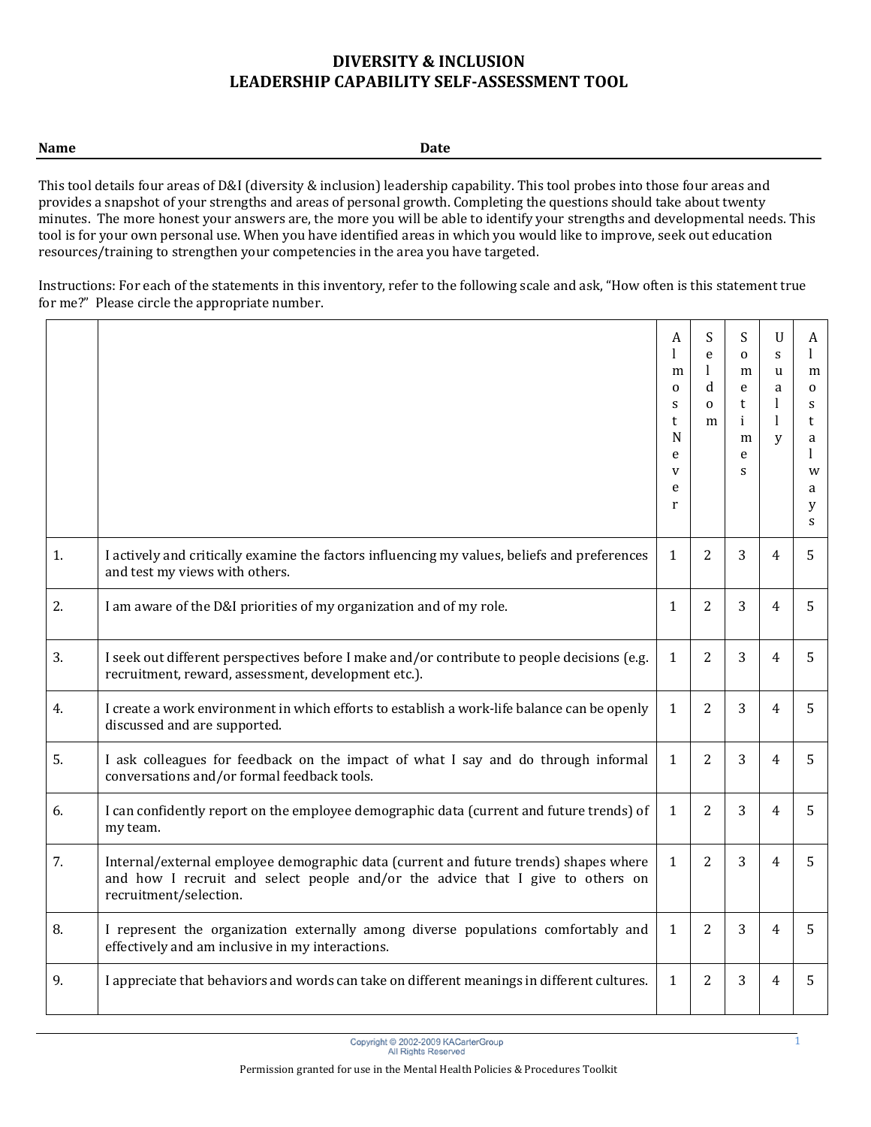| $ -$        |             |
|-------------|-------------|
| <b>Name</b> | <b>Date</b> |

This tool details four areas of D&I (diversity & inclusion) leadership capability. This tool probes into those four areas and provides a snapshot of your strengths and areas of personal growth. Completing the questions should take about twenty minutes. The more honest your answers are, the more you will be able to identify your strengths and developmental needs. This tool is for your own personal use. When you have identified areas in which you would like to improve, seek out education resources/training to strengthen your competencies in the area you have targeted.

Instructions: For each of the statements in this inventory, refer to the following scale and ask, "How often is this statement true for me?" Please circle the appropriate number.

|    |                                                                                                                                                                                                  | A<br>m<br>$\Omega$<br>S<br>t<br>$\mathbf N$<br>e<br>V<br>e<br>r | S<br>e<br>1<br>d<br>$\mathbf{O}$<br>m | S<br>$\mathbf{O}$<br>m<br>e<br>t<br>i<br>m<br>e<br>S | $\mathbf U$<br>S<br><b>u</b><br>a<br>1<br>1<br>V | A<br>1<br>m<br>$\mathbf 0$<br>S<br>t<br>a<br>1<br>W<br>a<br>y<br>S |
|----|--------------------------------------------------------------------------------------------------------------------------------------------------------------------------------------------------|-----------------------------------------------------------------|---------------------------------------|------------------------------------------------------|--------------------------------------------------|--------------------------------------------------------------------|
| 1. | I actively and critically examine the factors influencing my values, beliefs and preferences<br>and test my views with others.                                                                   | $\mathbf{1}$                                                    | $\overline{2}$                        | 3                                                    | $\overline{4}$                                   | 5                                                                  |
| 2. | I am aware of the D&I priorities of my organization and of my role.                                                                                                                              | 1                                                               | 2                                     | 3                                                    | $\overline{4}$                                   | 5.                                                                 |
| 3. | I seek out different perspectives before I make and/or contribute to people decisions (e.g.<br>recruitment, reward, assessment, development etc.).                                               | $\mathbf{1}$                                                    | $\overline{2}$                        | 3                                                    | $\overline{4}$                                   | 5.                                                                 |
| 4. | I create a work environment in which efforts to establish a work-life balance can be openly<br>discussed and are supported.                                                                      | 1                                                               | $\overline{2}$                        | 3                                                    | $\overline{4}$                                   | 5                                                                  |
| 5. | I ask colleagues for feedback on the impact of what I say and do through informal<br>conversations and/or formal feedback tools.                                                                 | 1                                                               | 2                                     | 3                                                    | $\overline{4}$                                   | 5                                                                  |
| 6. | I can confidently report on the employee demographic data (current and future trends) of<br>my team.                                                                                             | 1                                                               | $\overline{2}$                        | 3                                                    | $\overline{4}$                                   | 5.                                                                 |
| 7. | Internal/external employee demographic data (current and future trends) shapes where<br>and how I recruit and select people and/or the advice that I give to others on<br>recruitment/selection. | $\mathbf{1}$                                                    | $\overline{2}$                        | 3                                                    | $\overline{4}$                                   | 5                                                                  |
| 8. | I represent the organization externally among diverse populations comfortably and<br>effectively and am inclusive in my interactions.                                                            | $\mathbf{1}$                                                    | 2                                     | 3                                                    | $\overline{4}$                                   | 5                                                                  |
| 9. | I appreciate that behaviors and words can take on different meanings in different cultures.                                                                                                      | $\mathbf{1}$                                                    | $\overline{2}$                        | 3                                                    | $\overline{4}$                                   | 5                                                                  |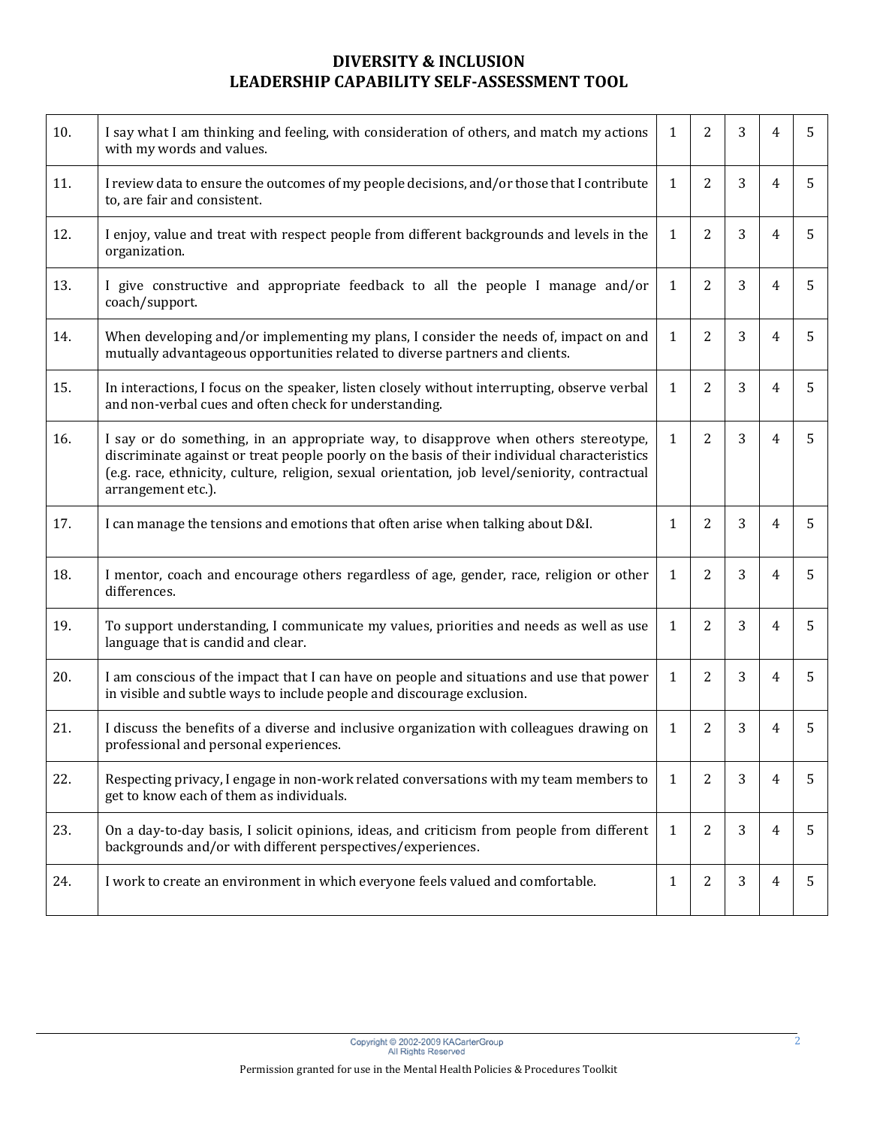| 10. | I say what I am thinking and feeling, with consideration of others, and match my actions<br>with my words and values.                                                                                                                                                                                       | $\mathbf{1}$ | $\overline{2}$ | 3 | $\overline{4}$ | 5 |
|-----|-------------------------------------------------------------------------------------------------------------------------------------------------------------------------------------------------------------------------------------------------------------------------------------------------------------|--------------|----------------|---|----------------|---|
| 11. | I review data to ensure the outcomes of my people decisions, and/or those that I contribute<br>to, are fair and consistent.                                                                                                                                                                                 | $\mathbf{1}$ | $\overline{2}$ | 3 | $\overline{4}$ | 5 |
| 12. | I enjoy, value and treat with respect people from different backgrounds and levels in the<br>organization.                                                                                                                                                                                                  | $\mathbf{1}$ | $\overline{2}$ | 3 | $\overline{4}$ | 5 |
| 13. | I give constructive and appropriate feedback to all the people I manage and/or<br>coach/support.                                                                                                                                                                                                            | $\mathbf{1}$ | $\overline{2}$ | 3 | $\overline{4}$ | 5 |
| 14. | When developing and/or implementing my plans, I consider the needs of, impact on and<br>mutually advantageous opportunities related to diverse partners and clients.                                                                                                                                        | $\mathbf{1}$ | $\overline{2}$ | 3 | $\overline{4}$ | 5 |
| 15. | In interactions, I focus on the speaker, listen closely without interrupting, observe verbal<br>and non-verbal cues and often check for understanding.                                                                                                                                                      | $\mathbf{1}$ | $\overline{2}$ | 3 | $\overline{4}$ | 5 |
| 16. | I say or do something, in an appropriate way, to disapprove when others stereotype,<br>discriminate against or treat people poorly on the basis of their individual characteristics<br>(e.g. race, ethnicity, culture, religion, sexual orientation, job level/seniority, contractual<br>arrangement etc.). | $\mathbf{1}$ | $\overline{2}$ | 3 | $\overline{4}$ | 5 |
| 17. | I can manage the tensions and emotions that often arise when talking about D&I.                                                                                                                                                                                                                             | $\mathbf{1}$ | $\overline{2}$ | 3 | $\overline{4}$ | 5 |
| 18. | I mentor, coach and encourage others regardless of age, gender, race, religion or other<br>differences.                                                                                                                                                                                                     | $\mathbf{1}$ | $\overline{2}$ | 3 | $\overline{4}$ | 5 |
| 19. | To support understanding, I communicate my values, priorities and needs as well as use<br>language that is candid and clear.                                                                                                                                                                                | $\mathbf{1}$ | $\overline{2}$ | 3 | $\overline{4}$ | 5 |
| 20. | I am conscious of the impact that I can have on people and situations and use that power<br>in visible and subtle ways to include people and discourage exclusion.                                                                                                                                          | $\mathbf{1}$ | $\overline{2}$ | 3 | $\overline{4}$ | 5 |
| 21. | I discuss the benefits of a diverse and inclusive organization with colleagues drawing on<br>professional and personal experiences.                                                                                                                                                                         | $\mathbf{1}$ | 2              | 3 | 4              | 5 |
| 22. | Respecting privacy, I engage in non-work related conversations with my team members to<br>get to know each of them as individuals.                                                                                                                                                                          | $\mathbf{1}$ | $\overline{2}$ | 3 | $\overline{4}$ | 5 |
| 23. | On a day-to-day basis, I solicit opinions, ideas, and criticism from people from different<br>backgrounds and/or with different perspectives/experiences.                                                                                                                                                   | $\mathbf{1}$ | $\overline{2}$ | 3 | $\overline{4}$ | 5 |
| 24. | I work to create an environment in which everyone feels valued and comfortable.                                                                                                                                                                                                                             | $\mathbf{1}$ | 2              | 3 | $\overline{4}$ | 5 |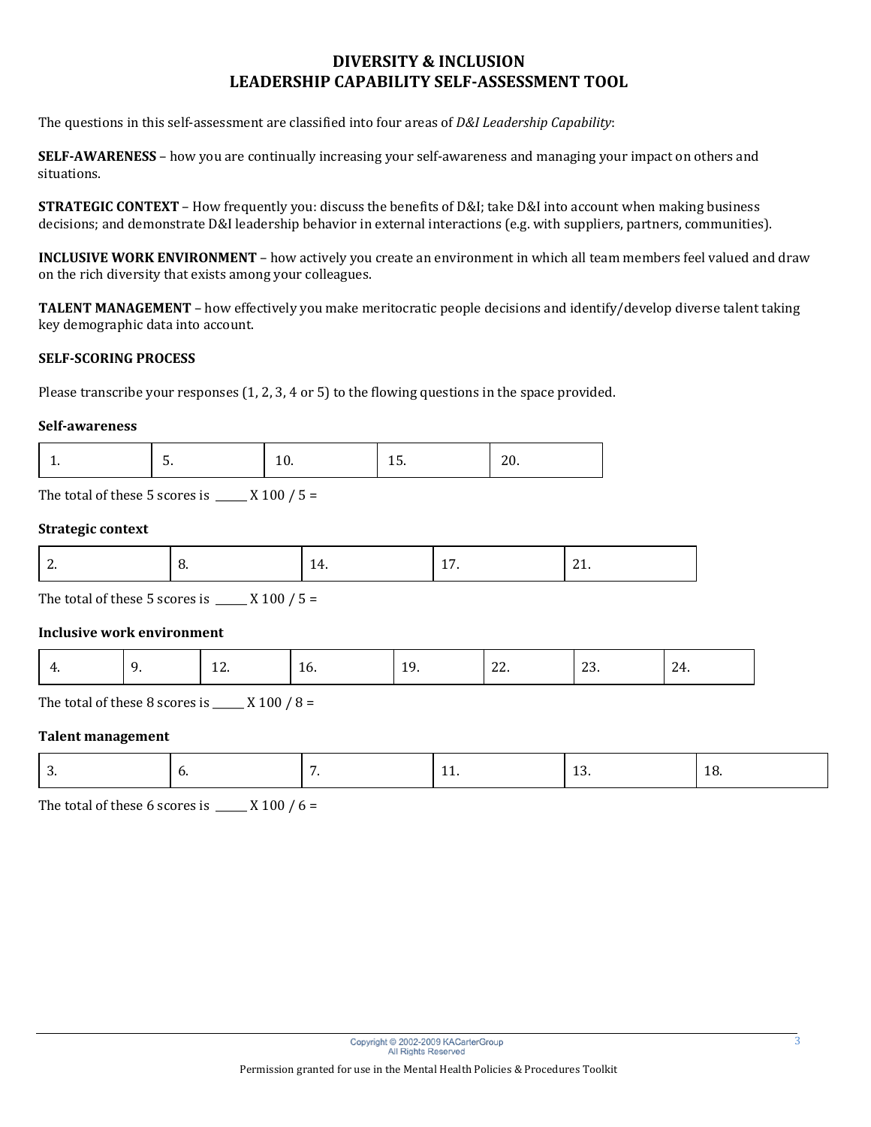The questions in this self-assessment are classified into four areas of *D&I Leadership Capability*:

**SELF-AWARENESS** – how you are continually increasing your self-awareness and managing your impact on others and situations.

**STRATEGIC CONTEXT** – How frequently you: discuss the benefits of D&I; take D&I into account when making business decisions; and demonstrate D&I leadership behavior in external interactions (e.g. with suppliers, partners, communities).

**INCLUSIVE WORK ENVIRONMENT** – how actively you create an environment in which all team members feel valued and draw on the rich diversity that exists among your colleagues.

**TALENT MANAGEMENT** – how effectively you make meritocratic people decisions and identify/develop diverse talent taking key demographic data into account.

### **SELF-SCORING PROCESS**

Please transcribe your responses (1, 2, 3, 4 or 5) to the flowing questions in the space provided.

#### **Self-awareness**

|--|--|--|--|

The total of these 5 scores is  $\frac{X 100}{5}$  =

### **Strategic context**

The total of these 5 scores is  $\frac{1}{2}$  X 100 / 5 =

### **Inclusive work environment**

| $\sim$ $\sim$<br>1 G<br>ιv.<br>.<br>∠J.<br>.<br>$\sim$ | . |
|--------------------------------------------------------|---|
|--------------------------------------------------------|---|

The total of these 8 scores is  $\frac{1}{2}$  X 100 / 8 =

#### **Talent management**

| . . | __ |
|-----|----|
|-----|----|

The total of these 6 scores is  $\frac{1}{2}$  X 100 / 6 =

3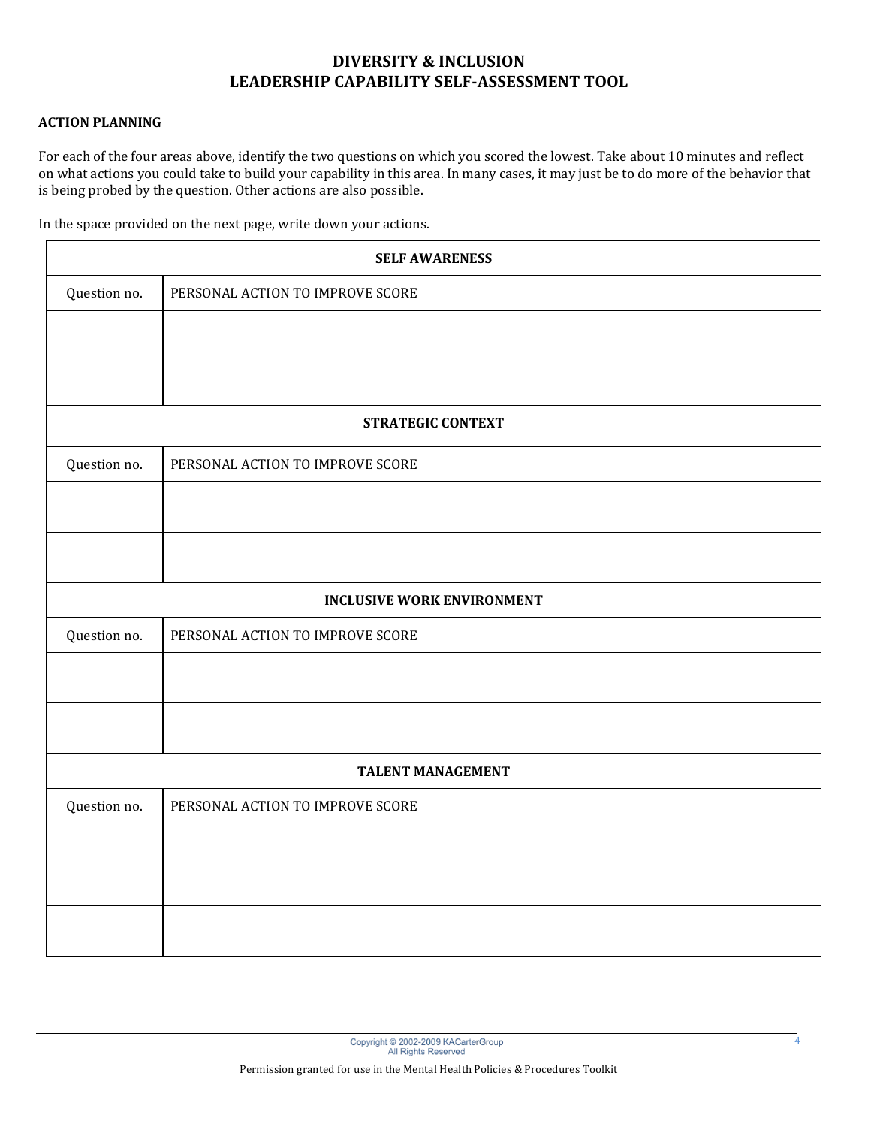### **ACTION PLANNING**

For each of the four areas above, identify the two questions on which you scored the lowest. Take about 10 minutes and reflect on what actions you could take to build your capability in this area. In many cases, it may just be to do more of the behavior that is being probed by the question. Other actions are also possible.

| In the space provided on the next page, write down your actions. |  |
|------------------------------------------------------------------|--|
|------------------------------------------------------------------|--|

| <b>SELF AWARENESS</b>    |                                   |  |  |
|--------------------------|-----------------------------------|--|--|
| Question no.             | PERSONAL ACTION TO IMPROVE SCORE  |  |  |
|                          |                                   |  |  |
|                          |                                   |  |  |
|                          | <b>STRATEGIC CONTEXT</b>          |  |  |
| Question no.             | PERSONAL ACTION TO IMPROVE SCORE  |  |  |
|                          |                                   |  |  |
|                          |                                   |  |  |
|                          | <b>INCLUSIVE WORK ENVIRONMENT</b> |  |  |
| Question no.             | PERSONAL ACTION TO IMPROVE SCORE  |  |  |
|                          |                                   |  |  |
|                          |                                   |  |  |
| <b>TALENT MANAGEMENT</b> |                                   |  |  |
| Question no.             | PERSONAL ACTION TO IMPROVE SCORE  |  |  |
|                          |                                   |  |  |
|                          |                                   |  |  |